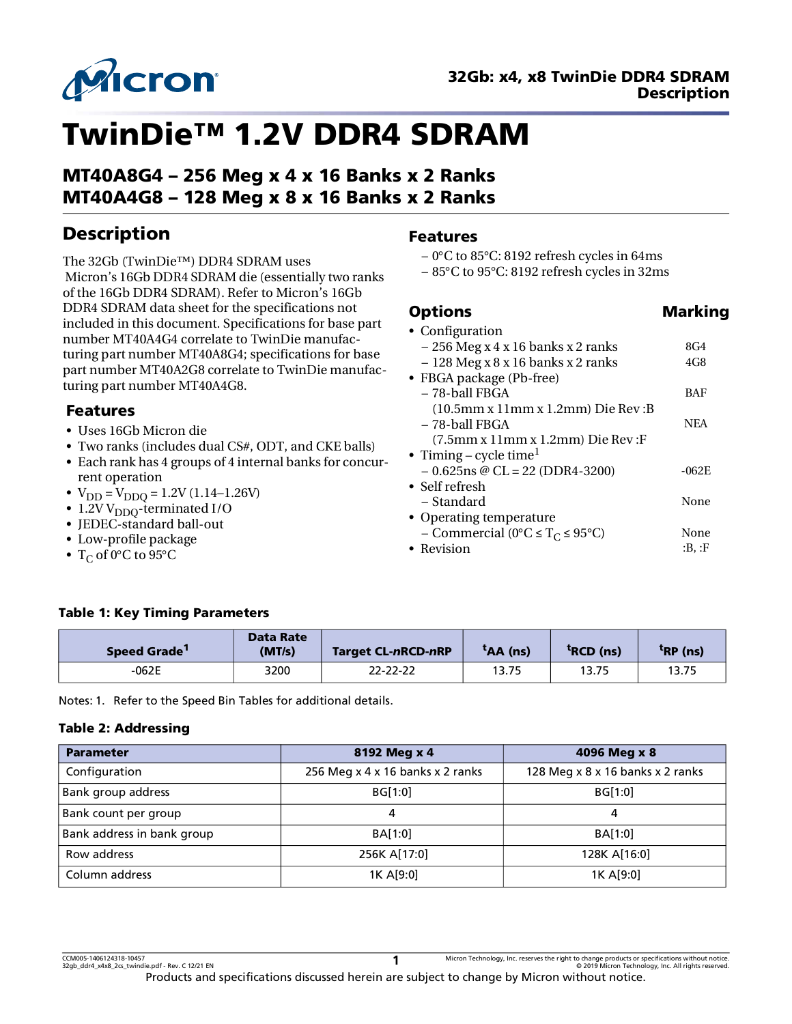

# TwinDie™ 1.2V DDR4 SDRAM

MT40A8G4 – 256 Meg x 4 x 16 Banks x 2 Ranks MT40A4G8 – 128 Meg x 8 x 16 Banks x 2 Ranks

# Description

The 32Gb (TwinDie™) DDR4 SDRAM uses Micron's 16Gb DDR4 SDRAM die (essentially two ranks of the 16Gb DDR4 SDRAM). Refer to Micron's 16Gb DDR4 SDRAM data sheet for the specifications not included in this document. Specifications for base part number MT40A4G4 correlate to TwinDie manufacturing part number MT40A8G4; specifications for base part number MT40A2G8 correlate to TwinDie manufacturing part number MT40A4G8.

### Features

- Uses 16Gb Micron die
- Two ranks (includes dual CS#, ODT, and CKE balls)
- Each rank has 4 groups of 4 internal banks for concurrent operation
- $V_{DD} = V_{DDO} = 1.2V (1.14 1.26V)$
- 1.2V  $V_{DDO}$ -terminated I/O
- JEDEC-standard ball-out
- Low-profile package
- $T_C$  of 0°C to 95°C

### Features

- 0°C to 85°C: 8192 refresh cycles in 64ms
- 85°C to 95°C: 8192 refresh cycles in 32ms

### **Options** Marking

| • Configuration                                                               |            |
|-------------------------------------------------------------------------------|------------|
| $-256$ Meg x 4 x 16 banks x 2 ranks                                           | 8G4        |
| $-128$ Meg x $8$ x 16 banks x 2 ranks                                         | 4G8        |
| • FBGA package (Pb-free)                                                      |            |
| – 78-ball FBGA                                                                | BAF        |
| $(10.5 \text{mm} \text{ x } 11 \text{mm} \text{ x } 1.2 \text{mm})$ Die Rev:B |            |
| – 78-ball FBGA                                                                | <b>NEA</b> |
| $(7.5\text{mm} \text{ x } 11\text{mm} \text{ x } 1.2\text{mm})$ Die Rev:F     |            |
| • Timing – cycle time <sup>1</sup>                                            |            |
| $-0.625$ ns @ CL = 22 (DDR4-3200)                                             | $-062E$    |
| $\bullet$ Self refresh                                                        |            |
| – Standard                                                                    | None       |
| • Operating temperature                                                       |            |
| - Commercial (0°C $\leq$ T <sub>C</sub> $\leq$ 95°C)                          | None       |
| • Revision                                                                    | :B. :F     |

### Table 1: Key Timing Parameters

| Speed Grade <sup>1</sup> | <b>Data Rate</b><br>(MT/s) | <b>Target CL-nRCD-nRP</b> | $tAA$ (ns) | <sup>T</sup> RCD (ns) | $tRP$ (ns) |
|--------------------------|----------------------------|---------------------------|------------|-----------------------|------------|
| $-062E$                  | 3200                       | 22-22-22                  | 13.75      | 13.75                 | 13.75      |

<span id="page-0-0"></span>Notes: 1. Refer to the Speed Bin Tables for additional details.

### Table 2: Addressing

| <b>Parameter</b>           | 8192 Meg x 4                     | 4096 Meg x 8                     |
|----------------------------|----------------------------------|----------------------------------|
| Configuration              | 256 Meg x 4 x 16 banks x 2 ranks | 128 Meg x 8 x 16 banks x 2 ranks |
| Bank group address         | <b>BG[1:0]</b>                   | BG[1:0]                          |
| Bank count per group       |                                  | 4                                |
| Bank address in bank group | BA[1:0]                          | BA[1:0]                          |
| Row address                | 256K A[17:0]                     | 128K A[16:0]                     |
| Column address             | 1K A[9:0]                        | 1K A[9:0]                        |

CCM005-1406124318-10457 Micron Technology, Inc. reserves the right to change products or specifications without notice.<br>32gb\_ddr4\_x4x8\_2cs\_twindie.pdf - Rev. C 12/21 EN © 2019 Micron Technology, Inc. All rights reserved. Products and specifications discussed herein are subject to change by Micron without notice. **1**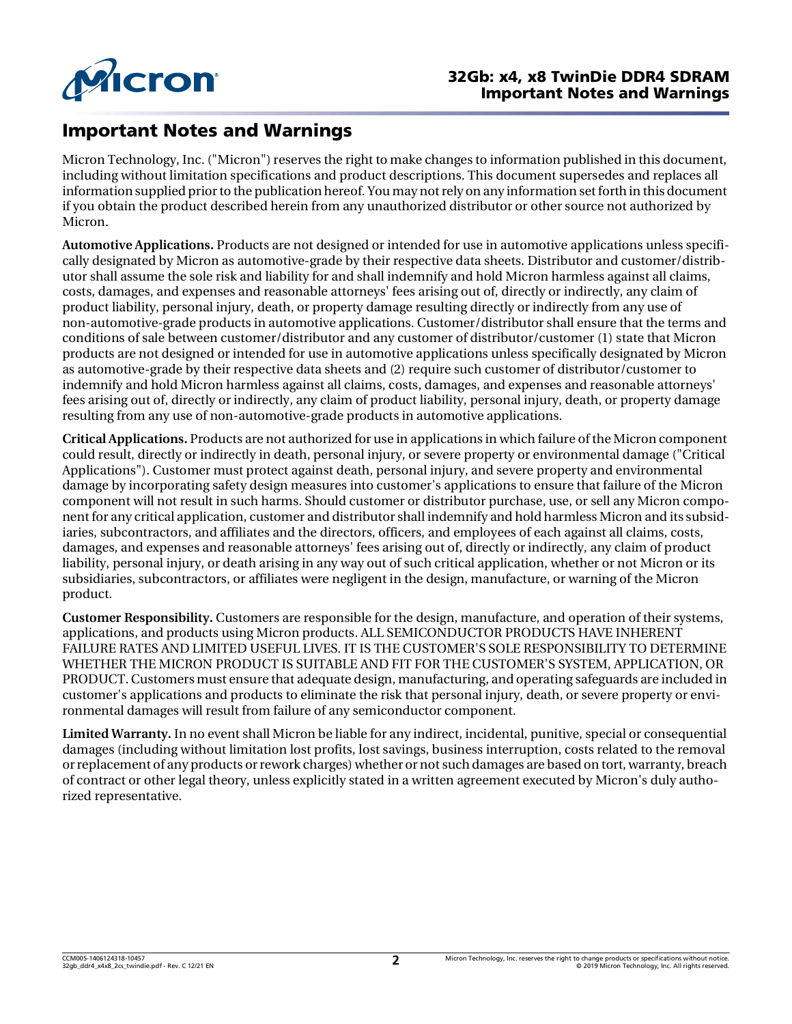

# Important Notes and Warnings

Micron Technology, Inc. ("Micron") reserves the right to make changes to information published in this document, including without limitation specifications and product descriptions. This document supersedes and replaces all information supplied prior to the publication hereof. You may not rely on any information set forth in this document if you obtain the product described herein from any unauthorized distributor or other source not authorized by Micron.

**Automotive Applications.** Products are not designed or intended for use in automotive applications unless specifically designated by Micron as automotive-grade by their respective data sheets. Distributor and customer/distributor shall assume the sole risk and liability for and shall indemnify and hold Micron harmless against all claims, costs, damages, and expenses and reasonable attorneys' fees arising out of, directly or indirectly, any claim of product liability, personal injury, death, or property damage resulting directly or indirectly from any use of non-automotive-grade products in automotive applications. Customer/distributor shall ensure that the terms and conditions of sale between customer/distributor and any customer of distributor/customer (1) state that Micron products are not designed or intended for use in automotive applications unless specifically designated by Micron as automotive-grade by their respective data sheets and (2) require such customer of distributor/customer to indemnify and hold Micron harmless against all claims, costs, damages, and expenses and reasonable attorneys' fees arising out of, directly or indirectly, any claim of product liability, personal injury, death, or property damage resulting from any use of non-automotive-grade products in automotive applications.

**Critical Applications.** Products are not authorized for use in applications in which failure of the Micron component could result, directly or indirectly in death, personal injury, or severe property or environmental damage ("Critical Applications"). Customer must protect against death, personal injury, and severe property and environmental damage by incorporating safety design measures into customer's applications to ensure that failure of the Micron component will not result in such harms. Should customer or distributor purchase, use, or sell any Micron component for any critical application, customer and distributor shall indemnify and hold harmless Micron and its subsidiaries, subcontractors, and affiliates and the directors, officers, and employees of each against all claims, costs, damages, and expenses and reasonable attorneys' fees arising out of, directly or indirectly, any claim of product liability, personal injury, or death arising in any way out of such critical application, whether or not Micron or its subsidiaries, subcontractors, or affiliates were negligent in the design, manufacture, or warning of the Micron product.

**Customer Responsibility.** Customers are responsible for the design, manufacture, and operation of their systems, applications, and products using Micron products. ALL SEMICONDUCTOR PRODUCTS HAVE INHERENT FAILURE RATES AND LIMITED USEFUL LIVES. IT IS THE CUSTOMER'S SOLE RESPONSIBILITY TO DETERMINE WHETHER THE MICRON PRODUCT IS SUITABLE AND FIT FOR THE CUSTOMER'S SYSTEM, APPLICATION, OR PRODUCT.Customers must ensure that adequate design, manufacturing, and operating safeguards are included in customer's applications and products to eliminate the risk that personal injury, death, or severe property or environmental damages will result from failure of any semiconductor component.

**Limited Warranty.** In no event shall Micron be liable for any indirect, incidental, punitive, special or consequential damages (including without limitation lost profits, lost savings, business interruption, costs related to the removal orreplacement of any products orrework charges) whether or not such damages are based on tort, warranty, breach of contract or other legal theory, unless explicitly stated in a written agreement executed by Micron's duly authorized representative.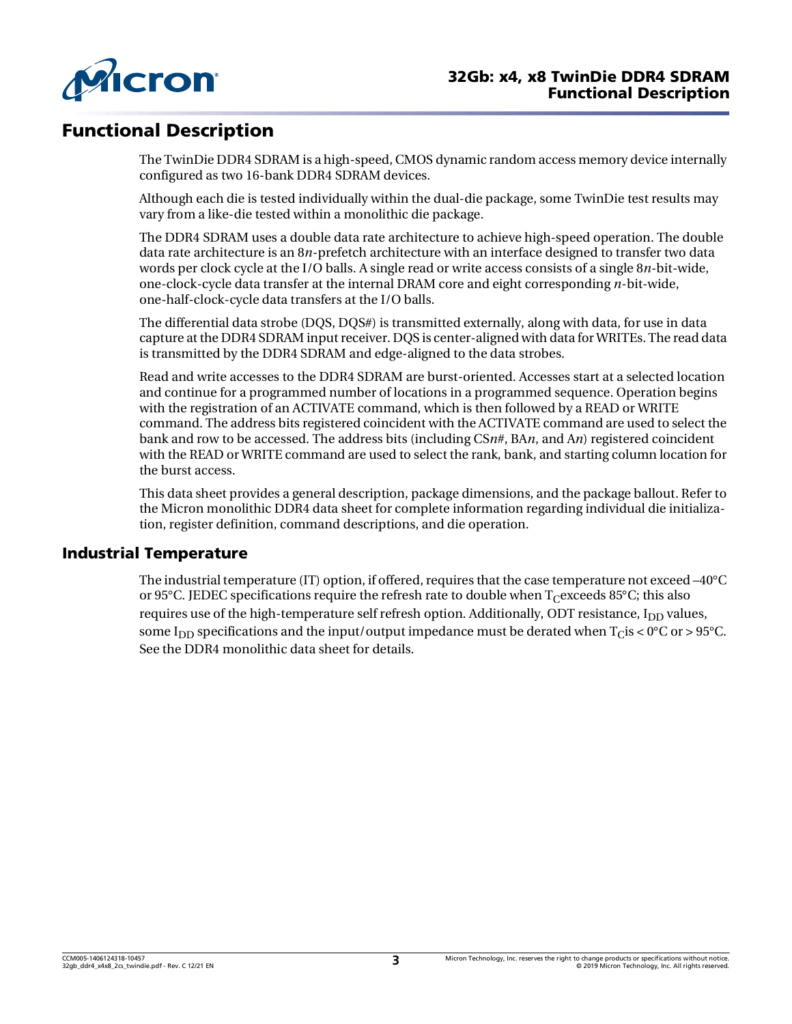

# Functional Description

The TwinDie DDR4 SDRAM is a high-speed, CMOS dynamic random access memory device internally configured as two 16-bank DDR4 SDRAM devices.

Although each die is tested individually within the dual-die package, some TwinDie test results may vary from a like-die tested within a monolithic die package.

The DDR4 SDRAM uses a double data rate architecture to achieve high-speed operation. The double data rate architecture is an 8*n*-prefetch architecture with an interface designed to transfer two data words per clock cycle at the I/O balls. A single read or write access consists of a single 8*n*-bit-wide, one-clock-cycle data transfer at the internal DRAM core and eight corresponding *n*-bit-wide, one-half-clock-cycle data transfers at the I/O balls.

The differential data strobe (DOS, DOS#) is transmitted externally, along with data, for use in data capture at the DDR4 SDRAM input receiver. DOS is center-aligned with data for WRITEs. The read data is transmitted by the DDR4 SDRAM and edge-aligned to the data strobes.

Read and write accesses to the DDR4 SDRAM are burst-oriented. Accesses start at a selected location and continue for a programmed number of locations in a programmed sequence. Operation begins with the registration of an ACTIVATE command, which is then followed by a READ or WRITE command. The address bits registered coincident with the ACTIVATE command are used to select the bank and row to be accessed. The address bits (including CS*n*#, BA*n*, and A*n*) registered coincident with the READ or WRITE command are used to select the rank, bank, and starting column location for the burst access.

This data sheet provides a general description, package dimensions, and the package ballout. Refer to the Micron monolithic DDR4 data sheet for complete information regarding individual die initialization, register definition, command descriptions, and die operation.

### Industrial Temperature

The industrial temperature (IT) option, if offered, requires that the case temperature not exceed –40°C or 95°C. JEDEC specifications require the refresh rate to double when  $T_{C}$  exceeds 85°C; this also requires use of the high-temperature self refresh option. Additionally, ODT resistance,  $I_{DD}$  values, some I<sub>DD</sub> specifications and the input/output impedance must be derated when  $T_{\rm C}$  is < 0°C or > 95°C. See the DDR4 monolithic data sheet for details.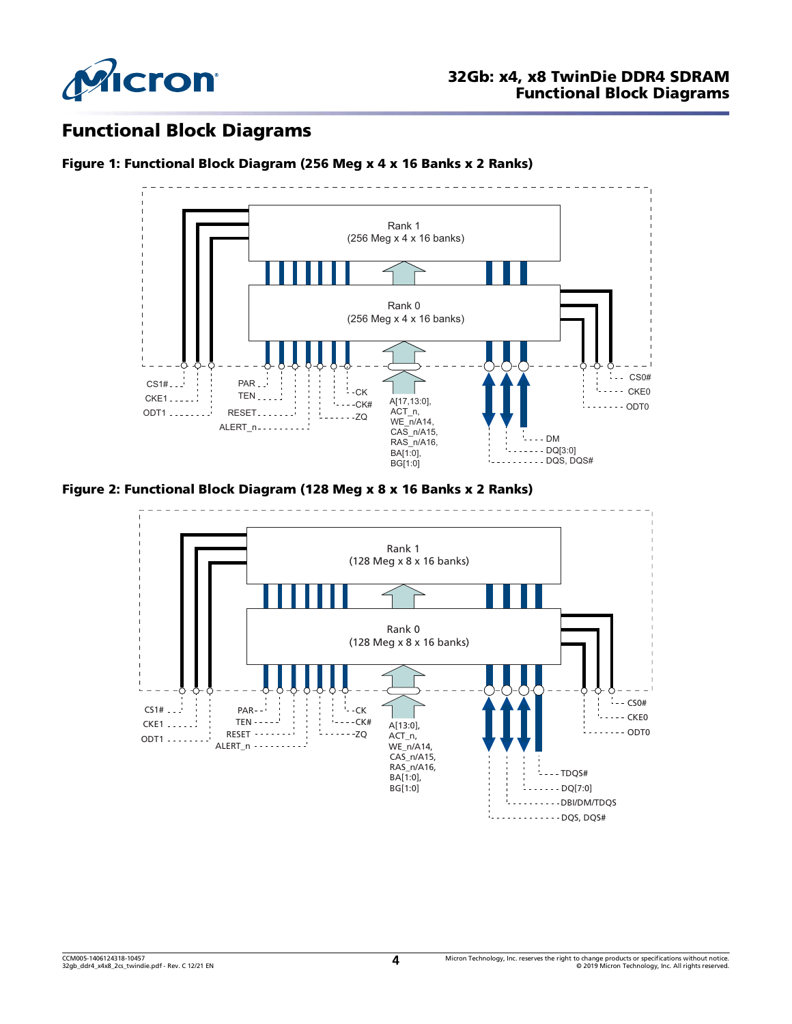

### Functional Block Diagrams





### Figure 2: Functional Block Diagram (128 Meg x 8 x 16 Banks x 2 Ranks)

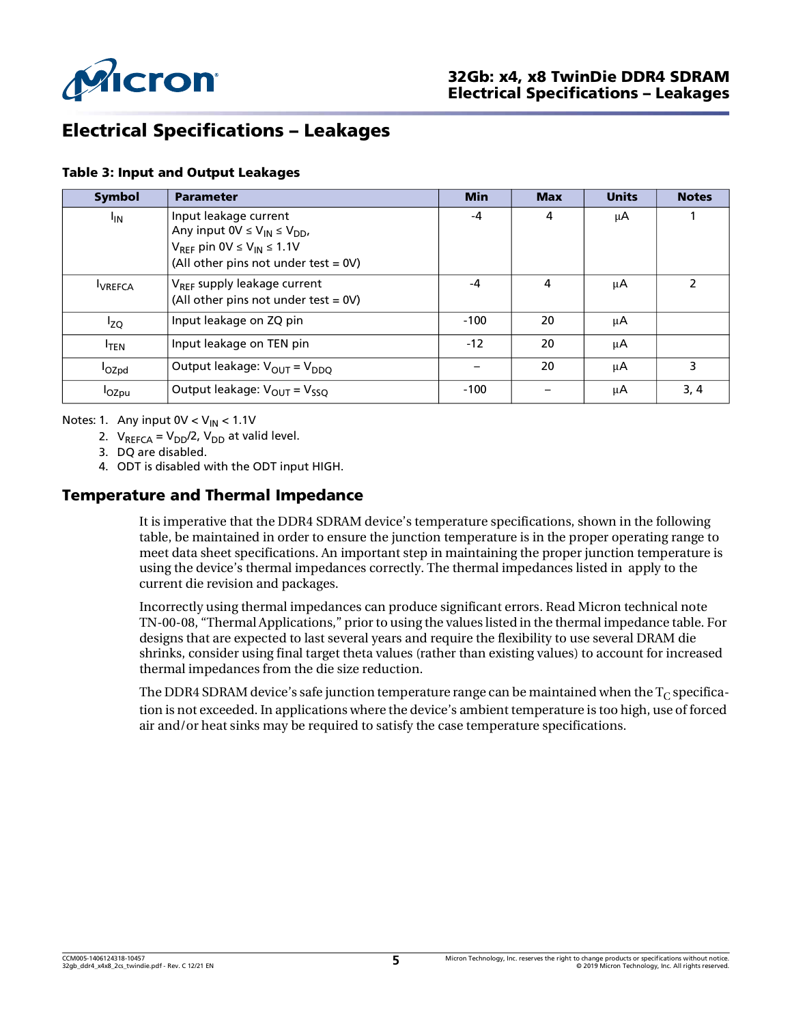

# Electrical Specifications – Leakages

#### Table 3: Input and Output Leakages

| <b>Symbol</b>     | <b>Parameter</b>                                                                                                                                                  | <b>Min</b> | <b>Max</b> | <b>Units</b> | <b>Notes</b> |
|-------------------|-------------------------------------------------------------------------------------------------------------------------------------------------------------------|------------|------------|--------------|--------------|
| <sup>I</sup> IN   | Input leakage current<br>Any input $0V \leq V_{IN} \leq V_{DD}$<br>$V_{RFF}$ pin 0V $\leq$ V <sub>IN</sub> $\leq$ 1.1V<br>(All other pins not under test = $0V$ ) | -4         | 4          | μA           |              |
| <b>UREFCA</b>     | V <sub>RFF</sub> supply leakage current<br>(All other pins not under test = $0V$ )                                                                                | $-4$       | 4          | μA           | 2            |
| $I_{ZQ}$          | Input leakage on ZQ pin                                                                                                                                           | $-100$     | 20         | μA           |              |
| <sup>I</sup> TEN  | Input leakage on TEN pin                                                                                                                                          | $-12$      | 20         | μA           |              |
| l <sub>OZpd</sub> | Output leakage: $V_{OUT} = V_{DDQ}$                                                                                                                               |            | 20         | μA           | 3            |
| l <sub>OZpu</sub> | Output leakage: $V_{OUT} = V_{SSQ}$                                                                                                                               | $-100$     |            | μA           | 3, 4         |

<span id="page-4-2"></span><span id="page-4-1"></span><span id="page-4-0"></span>Notes: 1. Any input  $0V < V_{IN} < 1.1V$ 

- 2.  $V_{REFCA} = V_{DD}/2$ ,  $V_{DD}$  at valid level.
- 3. DQ are disabled.
- 4. ODT is disabled with the ODT input HIGH.

### <span id="page-4-3"></span>Temperature and Thermal Impedance

It is imperative that the DDR4 SDRAM device's temperature specifications, shown in the following table, be maintained in order to ensure the junction temperature is in the proper operating range to meet data sheet specifications. An important step in maintaining the proper junction temperature is using the device's thermal impedances correctly. The thermal impedances listed in apply to the current die revision and packages.

Incorrectly using thermal impedances can produce significant errors. Read Micron technical note TN-00-08, "Thermal Applications," prior to using the values listed in the thermal impedance table. For designs that are expected to last several years and require the flexibility to use several DRAM die shrinks, consider using final target theta values (rather than existing values) to account for increased thermal impedances from the die size reduction.

The DDR4 SDRAM device's safe junction temperature range can be maintained when the  $T_{\rm C}$  specification is not exceeded. In applications where the device's ambient temperature is too high, use of forced air and/or heat sinks may be required to satisfy the case temperature specifications.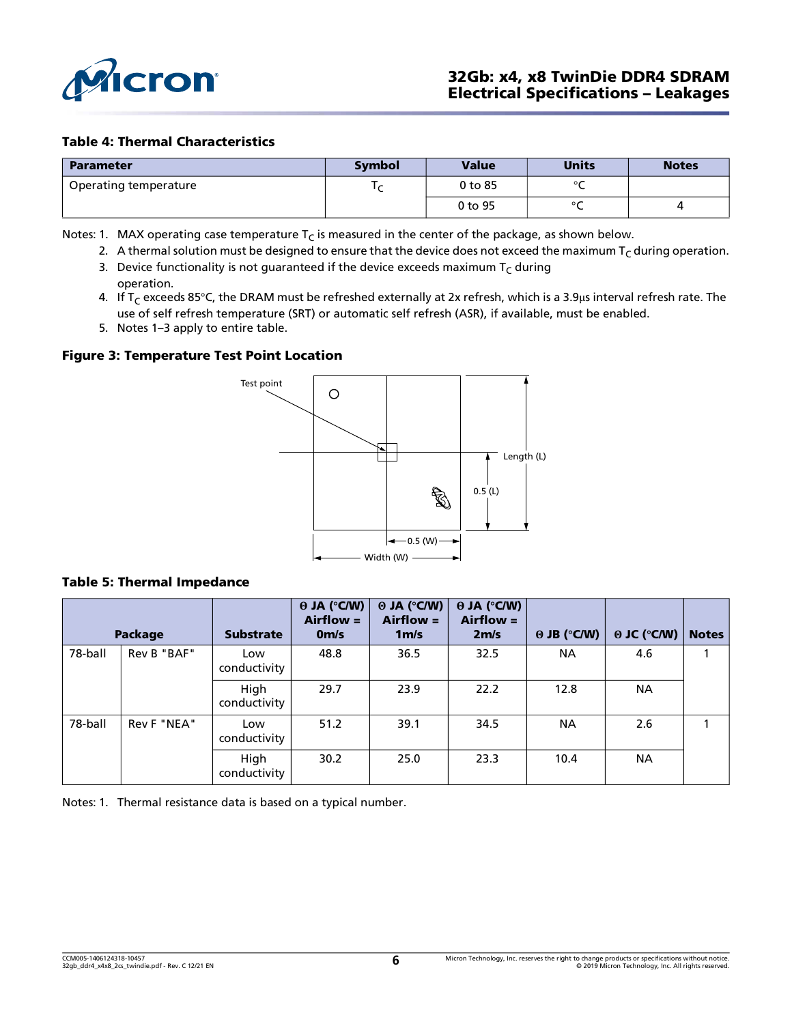

### Table 4: Thermal Characteristics

| <b>Parameter</b>      | <b>Symbol</b> | <b>Value</b> | <b>Units</b> | <b>Notes</b> |
|-----------------------|---------------|--------------|--------------|--------------|
| Operating temperature |               | 0 to 85      | $\sim$       |              |
|                       |               | 0 to 95      | $\sim$       |              |

Notes: 1. MAX operating case temperature  $T<sub>C</sub>$  is measured in the center of the package, as shown below.

- 2. A thermal solution must be designed to ensure that the device does not exceed the maximum  $T_c$  during operation.
- 3. Device functionality is not guaranteed if the device exceeds maximum  $T_C$  during operation.
- <span id="page-5-0"></span>4. If T<sub>C</sub> exceeds 85°C, the DRAM must be refreshed externally at 2x refresh, which is a 3.9µs interval refresh rate. The use of self refresh temperature (SRT) or automatic self refresh (ASR), if available, must be enabled.
- 5. Notes 1–3 apply to entire table.

### Figure 3: Temperature Test Point Location



#### Table 5: Thermal Impedance

|         | Package     | <b>Substrate</b>     | $\Theta$ JA (°C/W)<br>$Airflow =$<br>0 <sub>m/s</sub> | $\Theta$ JA (°C/W)<br>$Airflow =$<br>1 <sub>m/s</sub> | $\theta$ JA (°C/W)<br>$Airflow =$<br>2m/s | $\Theta$ JB ( $\degree$ C/W) | $\Theta$ JC ( $\degree$ C/W) | <b>Notes</b> |
|---------|-------------|----------------------|-------------------------------------------------------|-------------------------------------------------------|-------------------------------------------|------------------------------|------------------------------|--------------|
| 78-ball | Rev B "BAF" | Low<br>conductivity  | 48.8                                                  | 36.5                                                  | 32.5                                      | <b>NA</b>                    | 4.6                          |              |
|         |             | High<br>conductivity | 29.7                                                  | 23.9                                                  | 22.2                                      | 12.8                         | <b>NA</b>                    |              |
| 78-ball | Rev F "NEA" | Low<br>conductivity  | 51.2                                                  | 39.1                                                  | 34.5                                      | <b>NA</b>                    | 2.6                          | 1            |
|         |             | High<br>conductivity | 30.2                                                  | 25.0                                                  | 23.3                                      | 10.4                         | <b>NA</b>                    |              |

<span id="page-5-1"></span>Notes: 1. Thermal resistance data is based on a typical number.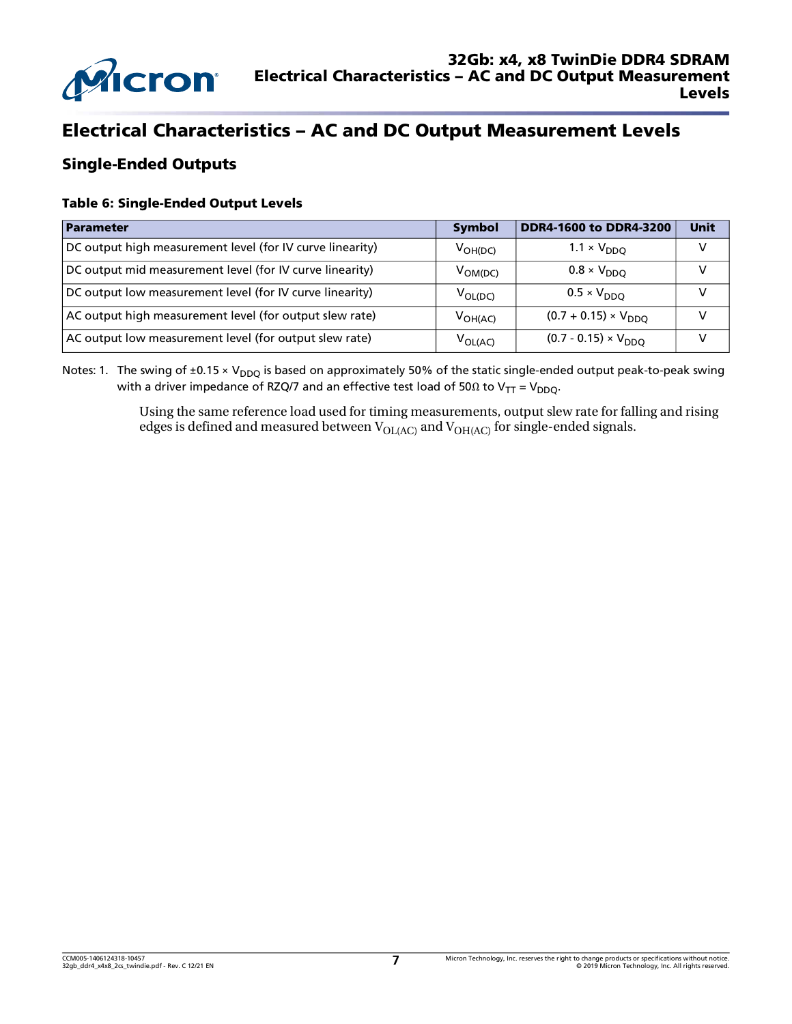

# Electrical Characteristics – AC and DC Output Measurement Levels

### Single-Ended Outputs

### Table 6: Single-Ended Output Levels

| Parameter                                                 | <b>Symbol</b>       | <b>DDR4-1600 to DDR4-3200</b> | <b>Unit</b> |
|-----------------------------------------------------------|---------------------|-------------------------------|-------------|
| DC output high measurement level (for IV curve linearity) | $V_{OH(DC)}$        | $1.1 \times V_{DDO}$          |             |
| DC output mid measurement level (for IV curve linearity)  | V <sub>OM(DC)</sub> | $0.8 \times V_{DDO}$          | v           |
| DC output low measurement level (for IV curve linearity)  | $V_{OL(DC)}$        | $0.5 \times V_{DDO}$          |             |
| AC output high measurement level (for output slew rate)   | $V_{OH(AC)}$        | $(0.7 + 0.15) \times V_{DDO}$ |             |
| AC output low measurement level (for output slew rate)    | $V_{OL(AC)}$        | $(0.7 - 0.15) \times V_{DDO}$ |             |

Notes: 1. The swing of  $\pm 0.15 \times V_{DDQ}$  is based on approximately 50% of the static single-ended output peak-to-peak swing with a driver impedance of RZQ/7 and an effective test load of 50 $\Omega$  to V<sub>TT</sub> = V<sub>DDO</sub>.

> Using the same reference load used for timing measurements, output slew rate for falling and rising edges is defined and measured between  $V_{OL(AC)}$  and  $V_{OH(AC)}$  for single-ended signals.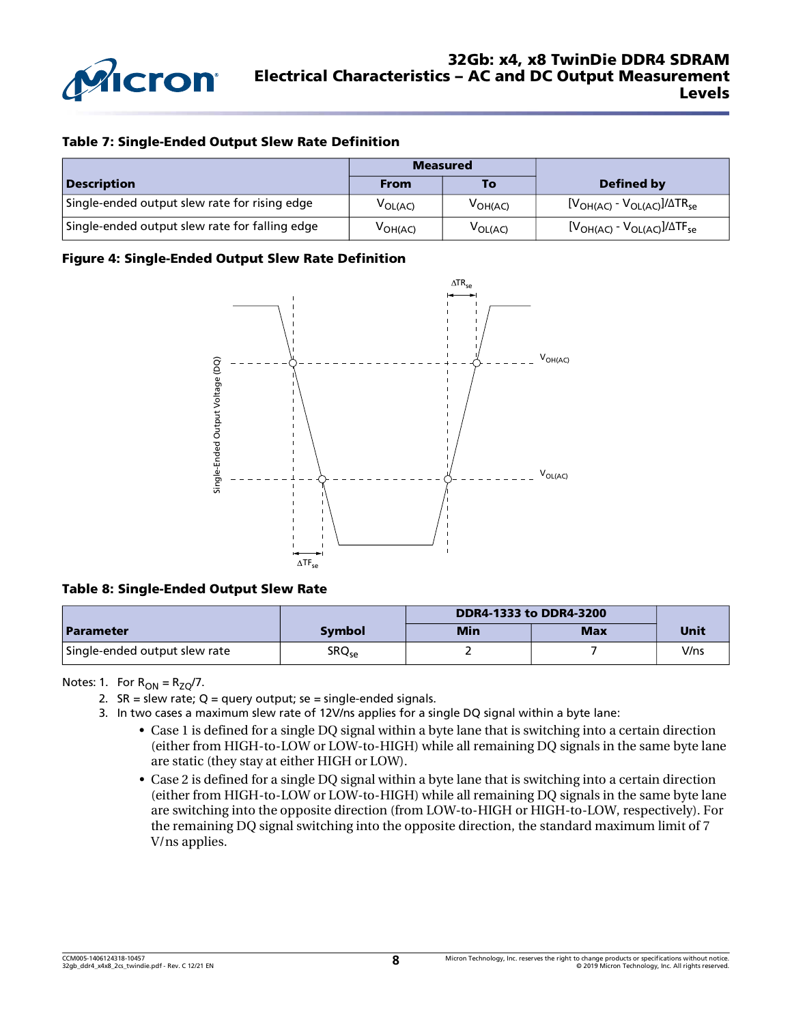

#### Table 7: Single-Ended Output Slew Rate Definition

|                                                | <b>Measured</b>                         |              |                                   |
|------------------------------------------------|-----------------------------------------|--------------|-----------------------------------|
| <b>Description</b>                             | <b>From</b>                             | To           | Defined by                        |
| Single-ended output slew rate for rising edge  | V <sub>OL(AC)</sub>                     | $V_{OH(AC)}$ | $[VOH(AC) - VOL(AC)]/\Delta TRse$ |
| Single-ended output slew rate for falling edge | $\mathsf{V}_{\mathsf{OH}(\mathsf{AC})}$ | $V_{OL(AC)}$ | $[VOH(AC) - VOL(AC)]/\Delta TFse$ |

#### Figure 4: Single-Ended Output Slew Rate Definition



#### Table 8: Single-Ended Output Slew Rate

|                               |               |     | DDR4-1333 to DDR4-3200 |      |  |
|-------------------------------|---------------|-----|------------------------|------|--|
| <b>Parameter</b>              | <b>Symbol</b> | Min | <b>Max</b>             | Unit |  |
| Single-ended output slew rate | $S R Q_{se}$  |     |                        | V/ns |  |

Notes: 1. For  $R_{ON} = R_{ZO}/7$ .

- 2.  $SR =$  slew rate; Q = query output; se = single-ended signals.
- 3. In two cases a maximum slew rate of 12V/ns applies for a single DQ signal within a byte lane:
	- Case 1 is defined for a single DQ signal within a byte lane that is switching into a certain direction (either from HIGH-to-LOW or LOW-to-HIGH) while all remaining DQ signals in the same byte lane are static (they stay at either HIGH or LOW).
	- Case 2 is defined for a single DQ signal within a byte lane that is switching into a certain direction (either from HIGH-to-LOW or LOW-to-HIGH) while all remaining DQ signals in the same byte lane are switching into the opposite direction (from LOW-to-HIGH or HIGH-to-LOW, respectively). For the remaining DQ signal switching into the opposite direction, the standard maximum limit of 7 V/ns applies.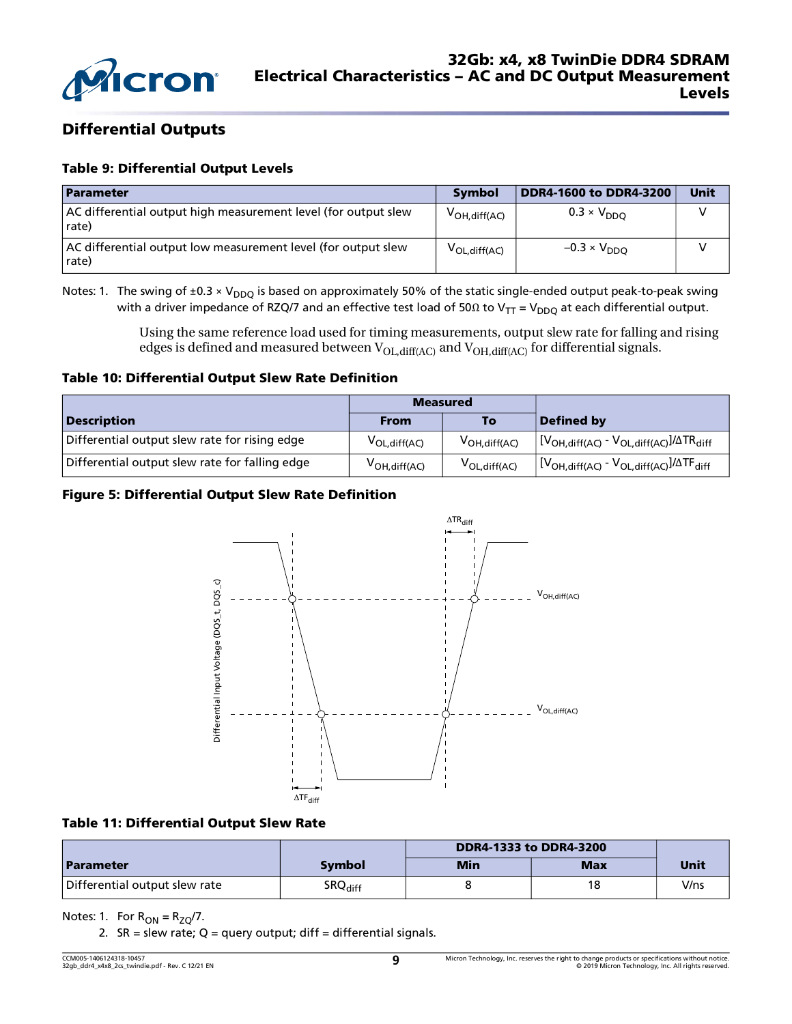

### Differential Outputs

### Table 9: Differential Output Levels

| <b>Parameter</b>                                                        | <b>Symbol</b>      | <b>DDR4-1600 to DDR4-3200</b> | <b>Unit</b> |
|-------------------------------------------------------------------------|--------------------|-------------------------------|-------------|
| AC differential output high measurement level (for output slew<br>rate) | $V_{OH, diff(AC)}$ | $0.3 \times V_{DDO}$          |             |
| AC differential output low measurement level (for output slew<br>rate)  | $V_{OL,diff(AC)}$  | $-0.3 \times V_{DDO}$         |             |

Notes: 1. The swing of  $\pm 0.3 \times V_{DDQ}$  is based on approximately 50% of the static single-ended output peak-to-peak swing with a driver impedance of RZQ/7 and an effective test load of 50Ω to V<sub>TT</sub> = V<sub>DDQ</sub> at each differential output.

> Using the same reference load used for timing measurements, output slew rate for falling and rising edges is defined and measured between  $V_{OL,diff(AC)}$  and  $V_{OH,diff(AC)}$  for differential signals.

#### Table 10: Differential Output Slew Rate Definition

|                                                | <b>Measured</b>            |                    |                                                                                                      |
|------------------------------------------------|----------------------------|--------------------|------------------------------------------------------------------------------------------------------|
| <b>Description</b>                             | <b>From</b>                | To                 | Defined by                                                                                           |
| Differential output slew rate for rising edge  | V <sub>OL, diff</sub> (AC) | $V_{OH, diff(AC)}$ | $\frac{1}{2}$ [V <sub>OH, diff</sub> (AC) - V <sub>OL, diff(AC)</sub> ]/ $\Delta TR$ <sub>diff</sub> |
| Differential output slew rate for falling edge | $V_{OH, diff(AC)}$         | $V_{OL, diff(AC)}$ | $\frac{1}{2}$ $[V_{OH,diff(AC)} - V_{OL,diff(AC)}]/\Delta TF_{diff}$                                 |

### Figure 5: Differential Output Slew Rate Definition



#### Table 11: Differential Output Slew Rate

|                               |                     | DDR4-1333 to DDR4-3200 |            |      |
|-------------------------------|---------------------|------------------------|------------|------|
| <b>Parameter</b>              | Symbol              | Min                    | <b>Max</b> | Unit |
| Differential output slew rate | SRQ <sub>diff</sub> |                        | 18         | V/ns |

Notes: 1. For  $R_{ON} = R_{ZQ}/7$ .

2.  $SR =$  slew rate; Q = query output; diff = differential signals.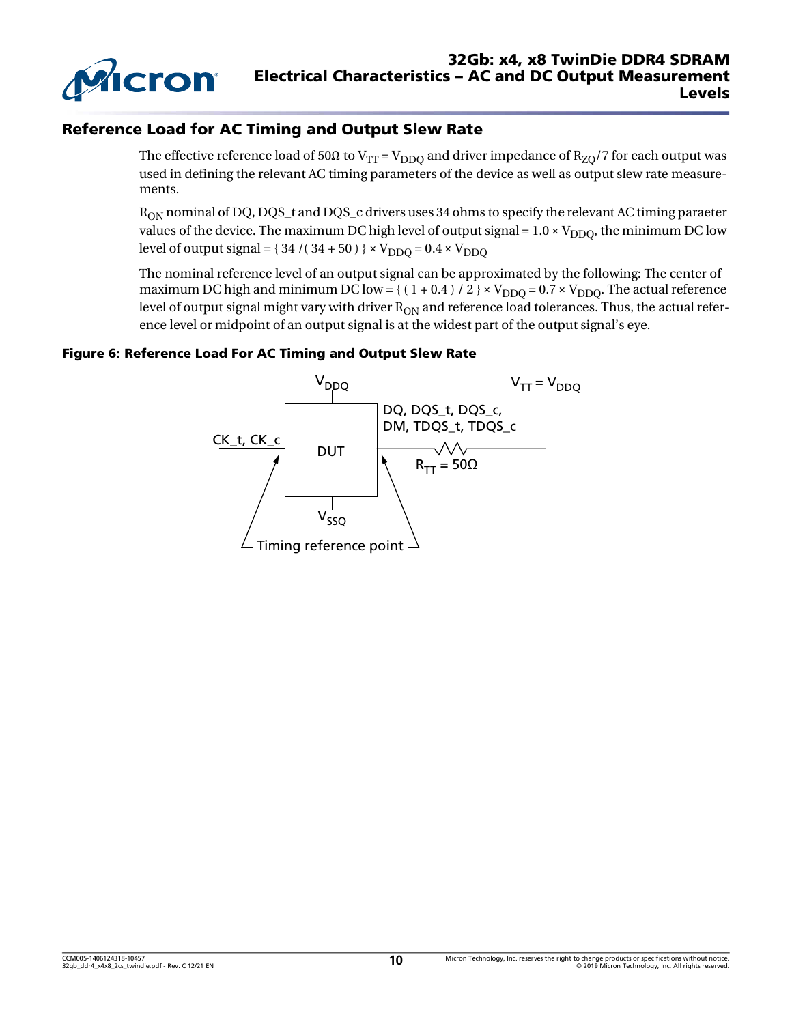

### Reference Load for AC Timing and Output Slew Rate

The effective reference load of 50Ω to V<sub>TT</sub> = V<sub>DDO</sub> and driver impedance of R<sub>ZO</sub>/7 for each output was used in defining the relevant AC timing parameters of the device as well as output slew rate measurements.

 $R_{ON}$  nominal of DQ, DQS\_t and DQS\_c drivers uses 34 ohms to specify the relevant AC timing paraeter values of the device. The maximum DC high level of output signal =  $1.0 \times V_{DDO}$ , the minimum DC low level of output signal =  $\{34 / (34 + 50)\}\times V_{\text{DDO}} = 0.4 \times V_{\text{DDO}}$ 

The nominal reference level of an output signal can be approximated by the following: The center of maximum DC high and minimum DC low = { $(1 + 0.4) / 2$  }  $\times$  V<sub>DDQ</sub> = 0.7  $\times$  V<sub>DDQ</sub>. The actual reference level of output signal might vary with driver  $R_{ON}$  and reference load tolerances. Thus, the actual reference level or midpoint of an output signal is at the widest part of the output signal's eye.

#### Figure 6: Reference Load For AC Timing and Output Slew Rate

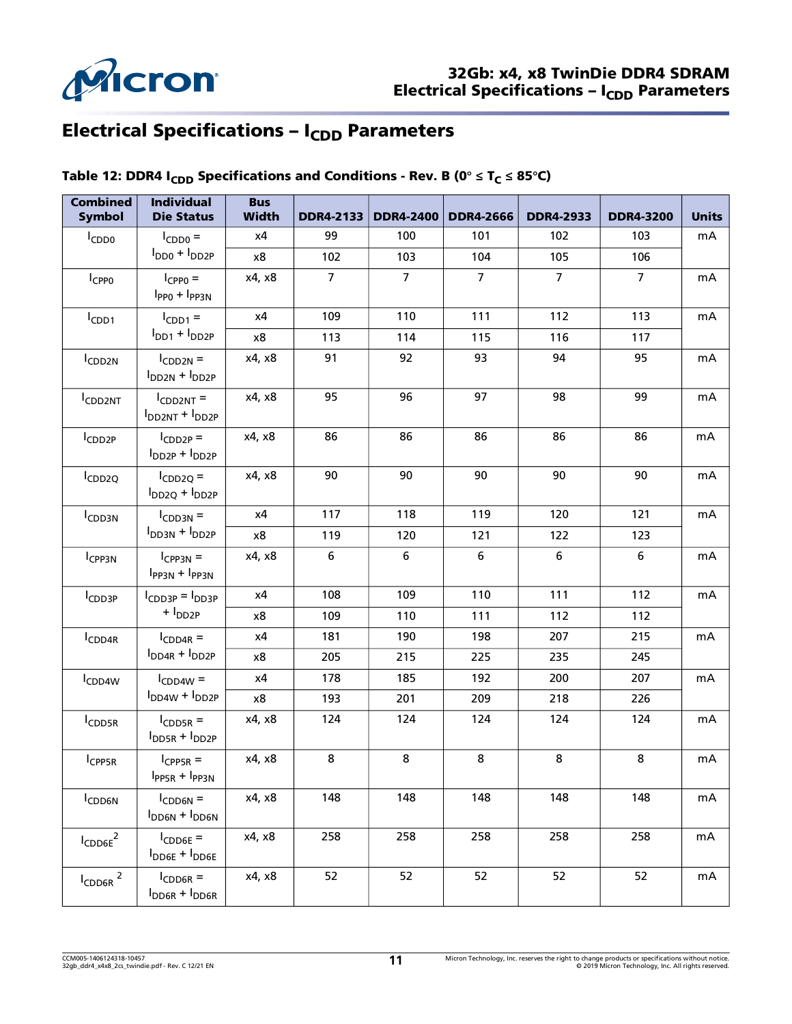

# Electrical Specifications - I<sub>CDD</sub> Parameters

| <b>Combined</b><br><b>Symbol</b> | <b>Individual</b><br><b>Die Status</b>               | <b>Bus</b><br><b>Width</b> | <b>DDR4-2133</b> | <b>DDR4-2400</b> | <b>DDR4-2666</b> | <b>DDR4-2933</b> | <b>DDR4-3200</b> | <b>Units</b> |
|----------------------------------|------------------------------------------------------|----------------------------|------------------|------------------|------------------|------------------|------------------|--------------|
| $I_{CDD0}$                       | $I_{CDD0} =$                                         | х4                         | 99               | 100              | 101              | 102              | 103              | mA           |
|                                  | $I_{DD0} + I_{DD2P}$                                 | x8                         | 102              | 103              | 104              | 105              | 106              |              |
| I <sub>CPP0</sub>                | $I_{CPPO} =$<br>$IPP0 + IPP3N$                       | x4, x8                     | $\overline{7}$   | $\overline{7}$   | $\overline{7}$   | $\overline{7}$   | $\overline{7}$   | mA           |
| I <sub>CDD1</sub>                | $I_{CDD1}$ =                                         | x4                         | 109              | 110              | 111              | 112              | 113              | mA           |
|                                  | $IDD1 + IDD2P$                                       | x8                         | 113              | 114              | 115              | 116              | 117              |              |
| ICDD2N                           | $I_{CDD2N}$ =<br>$IDD2N + IDD2P$                     | x4, x8                     | 91               | 92               | 93               | 94               | 95               | mA           |
| CDD <sub>2NT</sub>               | $I_{CDD2NT}$ =<br>$I_{DD2NT} + I_{DD2P}$             | x4, x8                     | 95               | 96               | 97               | 98               | 99               | mA           |
| ICDD <sub>2P</sub>               | $I_{CDD2P} =$<br>$I_{DD2P} + I_{DD2P}$               | x4, x8                     | 86               | 86               | 86               | 86               | 86               | mA           |
| ICDD <sub>2Q</sub>               | $I_{CDD2Q} =$<br>$I_{DD2Q} + I_{DD2P}$               | x4, x8                     | 90               | 90               | 90               | 90               | 90               | mA           |
| I <sub>CDD3N</sub>               | $I_{CDD3N}$ =                                        | х4                         | 117              | 118              | 119              | 120              | 121              | mA           |
|                                  | $IDD3N + IDD2P$                                      | x8                         | 119              | 120              | 121              | 122              | 123              |              |
| I <sub>CPP3N</sub>               | $I_{CPP3N}$ =<br>$IPP3N + IPP3N$                     | x4, x8                     | 6                | 6                | $\bf 6$          | $\bf 6$          | 6                | mA           |
| I <sub>CDD3P</sub>               | $I_{CDD3P} = I_{DD3P}$                               | x4                         | 108              | 109              | 110              | 111              | 112              | mA           |
|                                  | $+$ $I_{DD2P}$                                       | x8                         | 109              | 110              | 111              | 112              | 112              |              |
| ICDD4R                           | $I_{CDD4R}$ =                                        | x4                         | 181              | 190              | 198              | 207              | 215              | mA           |
|                                  | $I_{DD4R} + I_{DD2P}$                                | x8                         | 205              | 215              | 225              | 235              | 245              |              |
| I <sub>CDD4W</sub>               | $I_{CDD4W}$ =                                        | x4                         | 178              | 185              | 192              | 200              | 207              | mA           |
|                                  | $I_{DD4W} + I_{DD2P}$                                | x8                         | 193              | 201              | 209              | 218              | 226              |              |
| I <sub>CDD5R</sub>               | $I_{CDD5R}$ =<br>$I_{DD5R} + I_{DD2P}$               | x4, x8                     | 124              | 124              | 124              | 124              | 124              | mA           |
| I <sub>CPP5R</sub>               | $I_{CPPSR}$ =<br>$I_{PP5R} + I_{PP3N}$               | x4, x8                     | 8                | 8                | 8                | 8                | 8                | mA           |
| <b>ICDD6N</b>                    | $I_{CDD6N}$ =<br>$I_{DD6N} + I_{DD6N}$               | x4, x8                     | 148              | 148              | 148              | 148              | 148              | mA           |
| $I_{\text{CDD6E}}^2$             | $I_{CDD6E}$ =<br>$I_{\text{DDEE}} + I_{\text{DDEE}}$ | x4, x8                     | 258              | 258              | 258              | 258              | 258              | mA           |
| $I_{\text{CDD6R}}$ <sup>2</sup>  | $I_{CDD6R}$ =<br>$I_{DD6R} + I_{DD6R}$               | x4, x8                     | 52               | 52               | 52               | 52               | 52               | mA           |

### Table 12: DDR4 I<sub>CDD</sub> Specifications and Conditions - Rev. B (0<sup>°</sup> ≤ T<sub>C</sub> ≤ 85<sup>°</sup>C)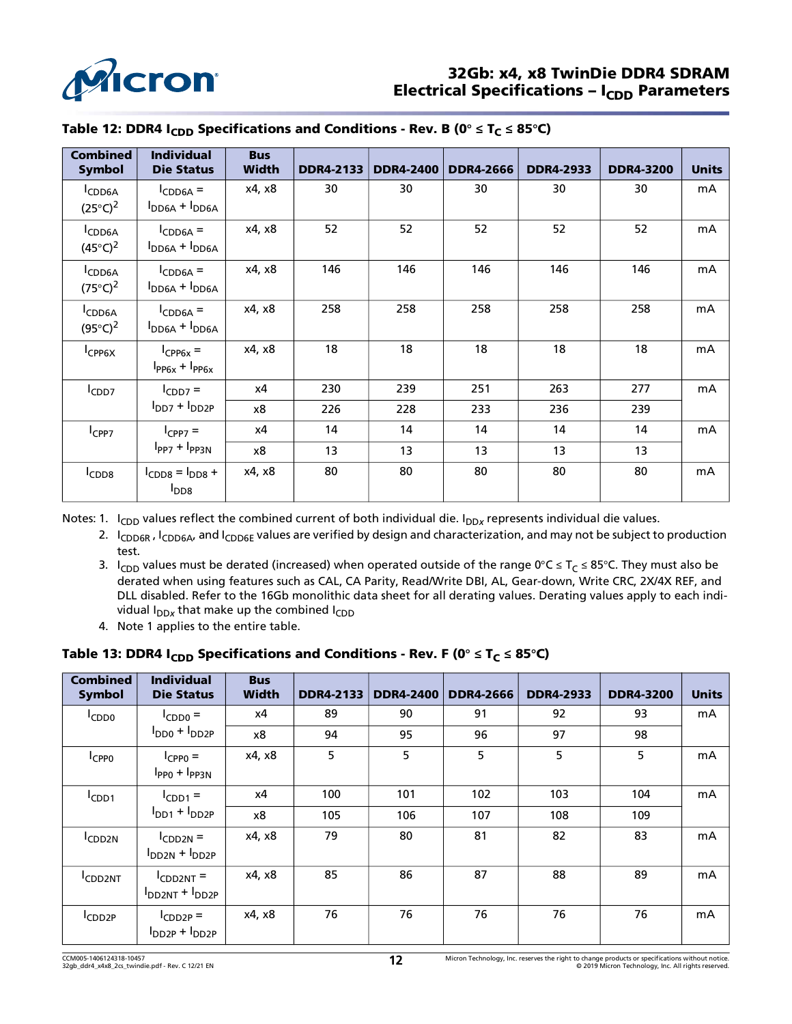

| <b>Combined</b><br><b>Symbol</b>         | <b>Individual</b><br><b>Die Status</b> | <b>Bus</b><br>Width | <b>DDR4-2133</b> | <b>DDR4-2400</b> | <b>DDR4-2666</b> | <b>DDR4-2933</b> | <b>DDR4-3200</b> | <b>Units</b> |
|------------------------------------------|----------------------------------------|---------------------|------------------|------------------|------------------|------------------|------------------|--------------|
| I <sub>CDD6A</sub><br>$(25^{\circ}C)^2$  | $I_{CDD6A} =$<br>$I_{DD6A} + I_{DD6A}$ | x4, x8              | 30               | 30               | 30               | 30               | 30               | mA           |
| CDD <sub>6A</sub><br>$(45^{\circ}C)^{2}$ | $I_{CDD6A} =$<br>$I_{DD6A} + I_{DD6A}$ | x4, x8              | 52               | 52               | 52               | 52               | 52               | mA           |
| ICDD6A<br>$(75^{\circ}C)^2$              | $I_{CDD6A} =$<br>$I_{DD6A} + I_{DD6A}$ | x4, x8              | 146              | 146              | 146              | 146              | 146              | mA           |
| CDD <sub>6A</sub><br>$(95^{\circ}C)^{2}$ | $I_{CDD6A} =$<br>$I_{DD6A} + I_{DD6A}$ | x4, x8              | 258              | 258              | 258              | 258              | 258              | mA           |
| I <sub>CPP6X</sub>                       | $I_{CPP6x} =$<br>$I_{PP6x} + I_{PP6x}$ | x4, x8              | 18               | 18               | 18               | 18               | 18               | mA           |
| $I_{CDD7}$                               | $I_{CDD7}$ =                           | х4                  | 230              | 239              | 251              | 263              | 277              | mA           |
|                                          | $IDD7 + IDD2P$                         | x8                  | 226              | 228              | 233              | 236              | 239              |              |
| I <sub>CPP7</sub>                        | $I_{CPP7}$ =                           | х4                  | 14               | 14               | 14               | 14               | 14               | mA           |
|                                          | $IPP7 + IPP3N$                         | x8                  | 13               | 13               | 13               | 13               | 13               |              |
| <sup>I</sup> CDD <sub>8</sub>            | $ICDD8 = IDD8 +$<br>$I_{DD8}$          | x4, x8              | 80               | 80               | 80               | 80               | 80               | mA           |

### Table 12: DDR4 I<sub>CDD</sub> Specifications and Conditions - Rev. B (0<sup>°</sup> ≤ T<sub>C</sub> ≤ 85<sup>°</sup>C)

<span id="page-11-0"></span>Notes: 1. I<sub>CDD</sub> values reflect the combined current of both individual die. I<sub>DDx</sub> represents individual die values.

- 2. I<sub>CDD6R</sub>, I<sub>CDD6A</sub>, and I<sub>CDD6E</sub> values are verified by design and characterization, and may not be subject to production test.
- 3. I<sub>CDD</sub> values must be derated (increased) when operated outside of the range 0°C ≤ T<sub>C</sub> ≤ 85°C. They must also be derated when using features such as CAL, CA Parity, Read/Write DBI, AL, Gear-down, Write CRC, 2X/4X REF, and DLL disabled. Refer to the 16Gb monolithic data sheet for all derating values. Derating values apply to each individual  $I_{DDx}$  that make up the combined  $I_{CDD}$
- 4. Note 1 applies to the entire table.

### Table 13: DDR4  $I_{CDD}$  Specifications and Conditions - Rev. F (0°  $\leq$  T<sub>C</sub>  $\leq$  85°C)

| <b>Combined</b><br><b>Symbol</b> | <b>Individual</b><br><b>Die Status</b>   | <b>Bus</b><br><b>Width</b> | <b>DDR4-2133</b> | <b>DDR4-2400</b> | <b>DDR4-2666</b> | <b>DDR4-2933</b> | <b>DDR4-3200</b> | <b>Units</b> |
|----------------------------------|------------------------------------------|----------------------------|------------------|------------------|------------------|------------------|------------------|--------------|
| I <sub>CDD0</sub>                | $I_{CDD0}$ =                             | х4                         | 89               | 90               | 91               | 92               | 93               | mA           |
|                                  | $I_{DD0} + I_{DD2P}$                     | x8                         | 94               | 95               | 96               | 97               | 98               |              |
| <sup>I</sup> CPP <sub>0</sub>    | $I_{CPPO}$ =<br>$IPP0 + IPP3N$           | x4, x8                     | 5                | 5                | 5                | 5                | 5                | mA           |
| $I$ CDD <sub>1</sub>             | $I_{CDD1} =$                             | х4                         | 100              | 101              | 102              | 103              | 104              | mA           |
|                                  | $IDD1 + IDD2P$                           | x8                         | 105              | 106              | 107              | 108              | 109              |              |
| CDD <sub>2N</sub>                | $I_{CDD2N}$ =<br>$IDD2N + IDD2P$         | x4, x8                     | 79               | 80               | 81               | 82               | 83               | mA           |
| CDD <sub>2NT</sub>               | $I_{CDD2NT}$ =<br>$I_{DD2NT} + I_{DD2P}$ | x4, x8                     | 85               | 86               | 87               | 88               | 89               | mA           |
| CDD <sub>2P</sub>                | $I_{CDD2P} =$<br>$I_{DD2P} + I_{DD2P}$   | x4, x8                     | 76               | 76               | 76               | 76               | 76               | mA           |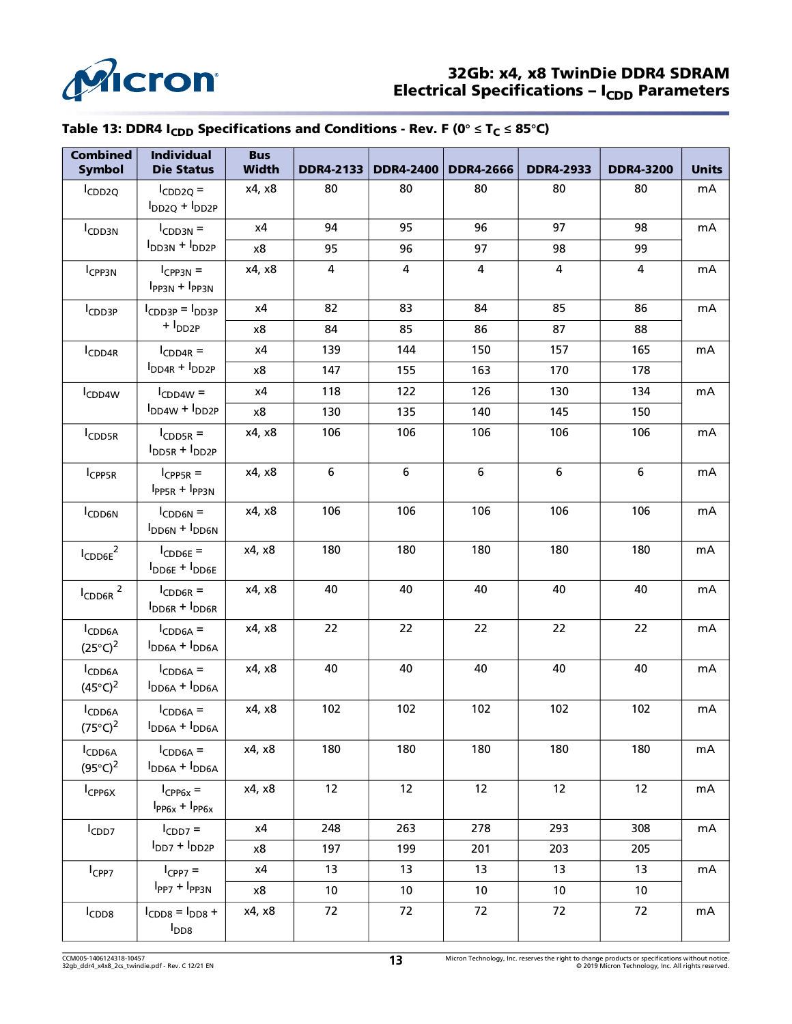

### 32Gb: x4, x8 TwinDie DDR4 SDRAM Electrical Specifications –  $I_{CDD}$  Parameters

# Table 13: DDR4 I<sub>CDD</sub> Specifications and Conditions - Rev. F (0<sup>°</sup>  $\leq$  T<sub>C</sub>  $\leq$  85<sup>°</sup>C)

| <b>Combined</b><br><b>Symbol</b>        | <b>Individual</b><br><b>Die Status</b> | <b>Bus</b><br><b>Width</b> | <b>DDR4-2133</b> | <b>DDR4-2400</b> | <b>DDR4-2666</b> | <b>DDR4-2933</b>        | <b>DDR4-3200</b> | <b>Units</b> |
|-----------------------------------------|----------------------------------------|----------------------------|------------------|------------------|------------------|-------------------------|------------------|--------------|
| ICDD <sub>2Q</sub>                      | $I_{CDD2Q} =$<br>$I_{DD2Q} + I_{DD2P}$ | x4, x8                     | 80               | 80               | 80               | 80                      | 80               | mA           |
| I <sub>CDD3N</sub>                      | $ICDD3N$ =                             | x4                         | 94               | 95               | 96               | 97                      | 98               | mA           |
|                                         | $IDD3N + IDD2P$                        | x8                         | 95               | 96               | 97               | 98                      | 99               |              |
| I <sub>CPP3N</sub>                      | $I_{CPP3N} =$<br>$I_{PP3N} + I_{PP3N}$ | x4, x8                     | 4                | 4                | $\overline{4}$   | $\overline{\mathbf{4}}$ | $\overline{4}$   | mA           |
| I <sub>CDD3P</sub>                      | $I_{CDD3P} = I_{DD3P}$                 | x4                         | 82               | 83               | 84               | 85                      | 86               | mA           |
|                                         | + I <sub>DD2P</sub>                    | x8                         | 84               | 85               | 86               | 87                      | 88               |              |
| I <sub>CDD4R</sub>                      | $I_{CDD4R}$ =                          | x4                         | 139              | 144              | 150              | 157                     | 165              | mA           |
|                                         | $I_{DD4R} + I_{DD2P}$                  | x8                         | 147              | 155              | 163              | 170                     | 178              |              |
| I <sub>CDD4W</sub>                      | $I_{CDD4W}$ =                          | x4                         | 118              | 122              | 126              | 130                     | 134              | mA           |
|                                         | $I_{DD4W} + I_{DD2P}$                  | x8                         | 130              | 135              | 140              | 145                     | 150              |              |
| <b>ICDD5R</b>                           | $I_{CDD5R}$ =<br>$I_{DD5R} + I_{DD2P}$ | x4, x8                     | 106              | 106              | 106              | 106                     | 106              | mA           |
| I <sub>CPP5R</sub>                      | $I_{CPPSR}$ =<br>$I_{PP5R} + I_{PP3N}$ | x4, x8                     | 6                | 6                | $\boldsymbol{6}$ | $\boldsymbol{6}$        | 6                | mA           |
| <b>ICDD6N</b>                           | $I_{CDD6N}$ =<br>$I_{DD6N} + I_{DD6N}$ | x4, x8                     | 106              | 106              | 106              | 106                     | 106              | mA           |
| $I_{\mathsf{CDD6E}}^{\mathsf{}}^2$      | $I_{CDD6E}$ =<br>$I_{DDE} + I_{DDE}$   | x4, x8                     | 180              | 180              | 180              | 180                     | 180              | mA           |
| $I_{CDD6R}$ <sup>2</sup>                | $I_{CDD6R}$ =<br>$I_{DD6R} + I_{DD6R}$ | x4, x8                     | 40               | 40               | 40               | 40                      | 40               | mA           |
| I <sub>CDD6A</sub><br>$(25^{\circ}C)^2$ | $I_{CDD6A}$ =<br>$I_{DD6A} + I_{DD6A}$ | x4, x8                     | 22               | 22               | 22               | 22                      | 22               | mA           |
| ICDD6A<br>$(45^{\circ}C)^2$             | $I_{CDD6A}$ =<br>$I_{DD6A} + I_{DD6A}$ | x4, x8                     | 40               | 40               | 40               | 40                      | 40               | mA           |
| ICDD6A<br>$(75^{\circ}C)^2$             | $I_{CDD6A}$ =<br>$I_{DD6A} + I_{DD6A}$ | x4, x8                     | 102              | 102              | 102              | 102                     | 102              | mA           |
| I <sub>CDD6A</sub><br>$(95^{\circ}C)^2$ | $I_{CDD6A}$ =<br>$I_{DD6A} + I_{DD6A}$ | x4, x8                     | 180              | 180              | 180              | 180                     | 180              | mA           |
| I <sub>CPP6X</sub>                      | $I_{CPP6x} =$<br>$I_{PP6x} + I_{PP6x}$ | x4, x8                     | 12               | 12               | 12               | 12                      | 12               | mA           |
| $I_{CDD7}$                              | $I_{CDD7}$ =                           | x4                         | 248              | 263              | 278              | 293                     | 308              | mA           |
|                                         | $IDD7 + IDD2P$                         | x8                         | 197              | 199              | 201              | 203                     | 205              |              |
| $I_{CPP7}$                              | $I_{CPP7} =$                           | х4                         | 13               | 13               | 13               | 13                      | 13               | mA           |
|                                         | $IPP7 + IPP3N$                         | x8                         | 10               | 10               | 10               | 10                      | 10               |              |
| I <sub>CDD8</sub>                       | $ICDD8 = IDD8 +$<br>$I_{DD8}$          | x4, x8                     | 72               | 72               | 72               | 72                      | 72               | mA           |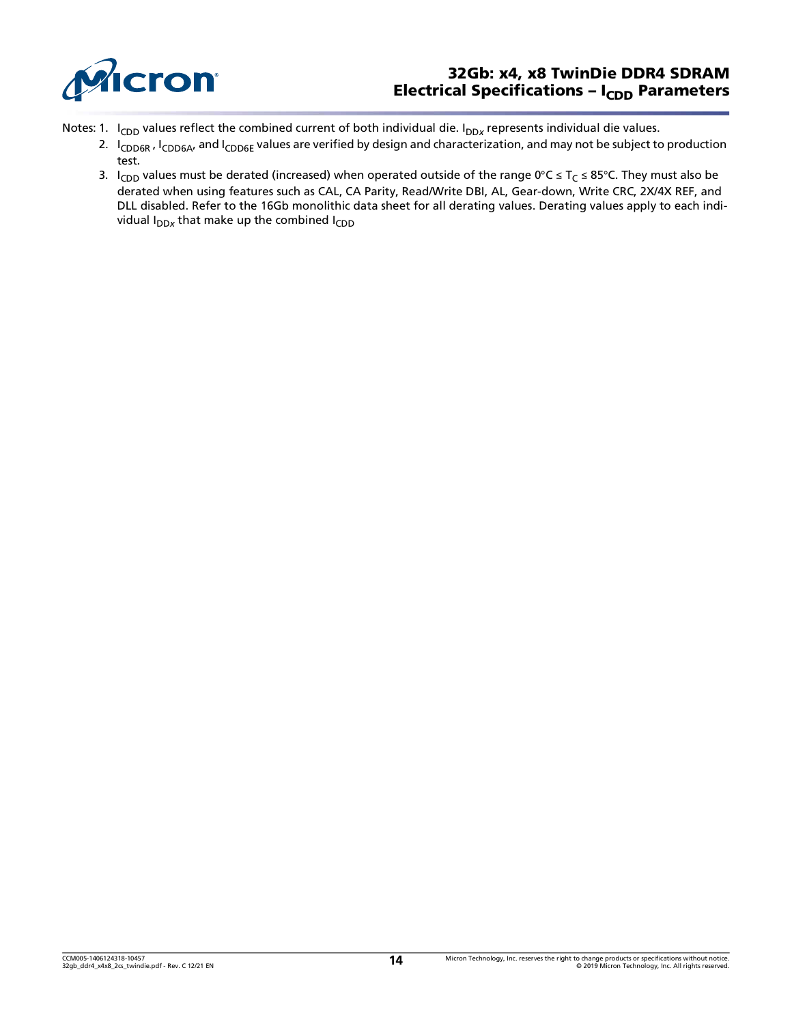

### 32Gb: x4, x8 TwinDie DDR4 SDRAM Electrical Specifications -  $I_{CDD}$  Parameters

- Notes: 1. I<sub>CDD</sub> values reflect the combined current of both individual die. I<sub>DDx</sub> represents individual die values.
	- 2.  $I_{CDD6R}$ ,  $I_{CDD6A}$ , and  $I_{CDD6E}$  values are verified by design and characterization, and may not be subject to production test.
	- 3. I<sub>CDD</sub> values must be derated (increased) when operated outside of the range 0°C ≤ T<sub>C</sub> ≤ 85°C. They must also be derated when using features such as CAL, CA Parity, Read/Write DBI, AL, Gear-down, Write CRC, 2X/4X REF, and DLL disabled. Refer to the 16Gb monolithic data sheet for all derating values. Derating values apply to each individual I<sub>DDx</sub> that make up the combined I<sub>CDD</sub>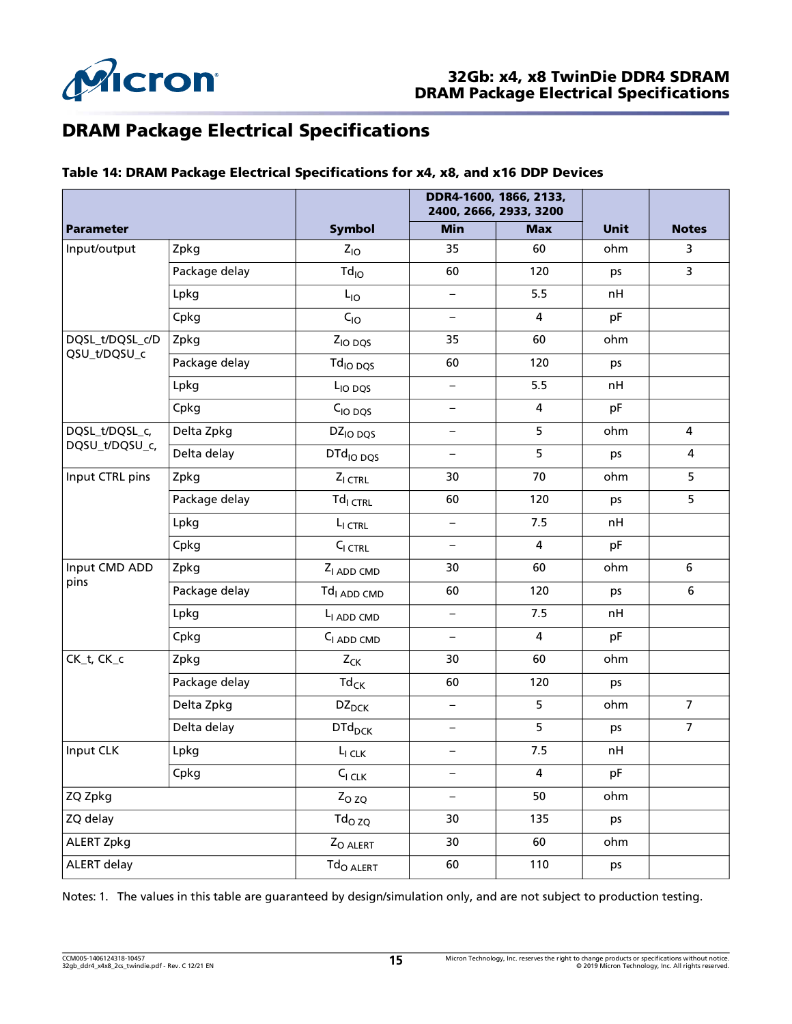

# DRAM Package Electrical Specifications

### Table 14: DRAM Package Electrical Specifications for x4, x8, and x16 DDP Devices

|                  |               |                                           |                          | DDR4-1600, 1866, 2133,<br>2400, 2666, 2933, 3200 |             |                  |  |
|------------------|---------------|-------------------------------------------|--------------------------|--------------------------------------------------|-------------|------------------|--|
| <b>Parameter</b> |               | <b>Symbol</b>                             | <b>Min</b>               | <b>Max</b>                                       | <b>Unit</b> | <b>Notes</b>     |  |
| Input/output     | Zpkg          | $Z_{10}$                                  | 35                       | 60                                               | ohm         | 3                |  |
|                  | Package delay | $Td_{IO}$                                 | 60                       | 120                                              | ps          | 3                |  |
|                  | Lpkg          | $L_{IO}$                                  | $\overline{\phantom{0}}$ | 5.5                                              | nH          |                  |  |
|                  | Cpkg          | $C_{10}$                                  | $\overline{\phantom{0}}$ | 4                                                | pF          |                  |  |
| DQSL_t/DQSL_c/D  | Zpkg          | Z <sub>IO</sub> DQS                       | 35                       | 60                                               | ohm         |                  |  |
| QSU_t/DQSU_c     | Package delay | Td <sub>IO DOS</sub>                      | 60                       | 120                                              | ps          |                  |  |
|                  | Lpkg          | L <sub>IO</sub> DQS                       | $\qquad \qquad -$        | 5.5                                              | nH          |                  |  |
|                  | Cpkg          | $CIO$ $DQS$                               | $\overline{\phantom{0}}$ | 4                                                | pF          |                  |  |
| DQSL_t/DQSL_c,   | Delta Zpkg    | DZ <sub>IO</sub> DQS                      | $\qquad \qquad -$        | 5                                                | ohm         | 4                |  |
| DQSU_t/DQSU_c,   | Delta delay   | DTd <sub>IO DQS</sub>                     | $\qquad \qquad -$        | 5                                                | ps          | 4                |  |
| Input CTRL pins  | Zpkg          | $Z_{I}$ <sub>CTRL</sub>                   | 30                       | 70                                               | ohm         | 5                |  |
|                  | Package delay | $Tdl$ <sub>CTRL</sub>                     | 60                       | 120                                              | ps          | 5                |  |
|                  | Lpkg          | L <sub>I CTRL</sub>                       | -                        | 7.5                                              | nH          |                  |  |
|                  | Cpkg          | $CI$ <sub>CTRL</sub>                      | $\overline{\phantom{0}}$ | $\overline{\mathbf{4}}$                          | pF          |                  |  |
| Input CMD ADD    | Zpkg          | Z <sub>I</sub> ADD CMD                    | 30                       | 60                                               | ohm         | 6                |  |
| pins             | Package delay | Td <sub>I ADD CMD</sub>                   | 60                       | 120                                              | ps          | $\boldsymbol{6}$ |  |
|                  | Lpkg          | L <sub>I</sub> ADD CMD                    | $\overline{\phantom{0}}$ | 7.5                                              | nH          |                  |  |
|                  | Cpkg          | C <sub>I ADD</sub> CMD                    | $\overline{\phantom{0}}$ | 4                                                | pF          |                  |  |
| CK_t, CK_c       | Zpkg          | $Z_{CK}$                                  | 30                       | 60                                               | ohm         |                  |  |
|                  | Package delay | $\mathsf{Td}_{\mathsf{CK}}$               | 60                       | 120                                              | ps          |                  |  |
|                  | Delta Zpkg    | $DZ_{DCK}$                                | $\qquad \qquad -$        | 5                                                | ohm         | $\overline{7}$   |  |
|                  | Delta delay   | <b>DTd<sub>DCK</sub></b>                  | $\qquad \qquad -$        | 5                                                | ps          | $\overline{7}$   |  |
| Input CLK        | Lpkg          | $L_{I \, CLK}$                            | $\overline{\phantom{0}}$ | 7.5                                              | nH          |                  |  |
|                  | Cpkg          | $C_{I\,CLK}$                              | $\qquad \qquad -$        | 4                                                | pF          |                  |  |
| ZQ Zpkg          |               | $Z_{OZQ}$                                 | $\overline{\phantom{0}}$ | 50                                               | ohm         |                  |  |
| ZQ delay         |               | $\mathsf{Td}_{\mathsf{O}}$ z $\mathsf{Q}$ | 30                       | 135                                              | ps          |                  |  |
| ALERT Zpkg       |               | Z <sub>O ALERT</sub>                      | 30                       | 60                                               | ohm         |                  |  |
| ALERT delay      |               | Td <sub>O ALERT</sub>                     | 60                       | 110                                              | ps          |                  |  |

Notes: 1. The values in this table are guaranteed by design/simulation only, and are not subject to production testing.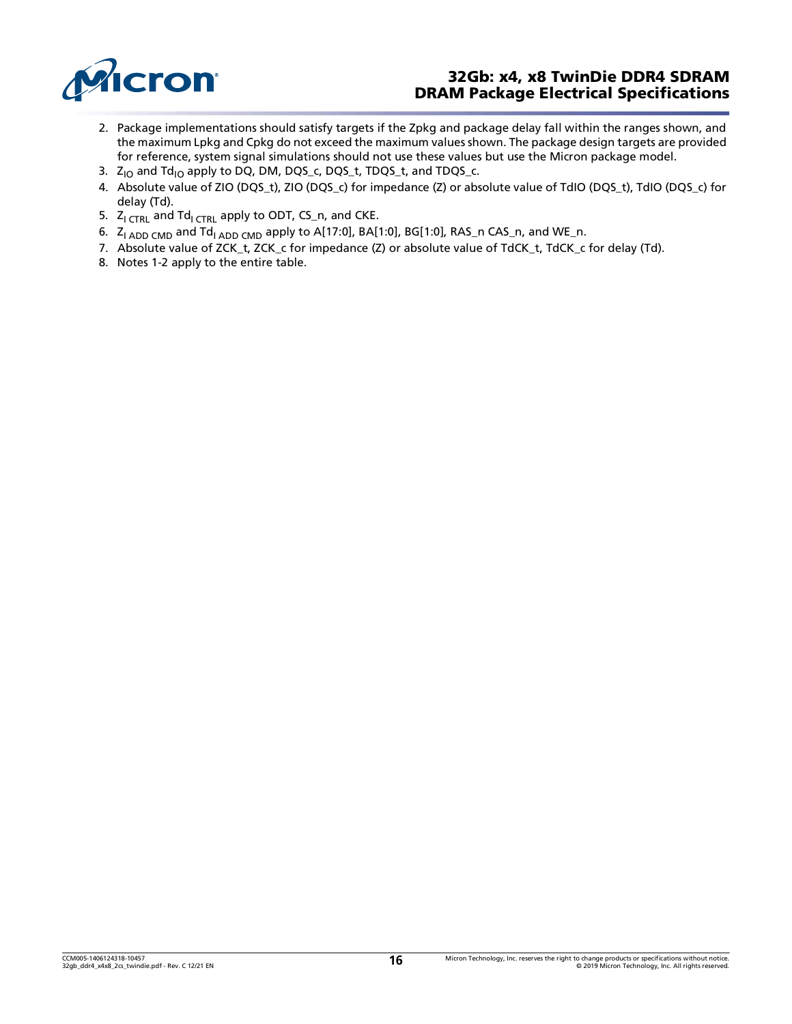

### 32Gb: x4, x8 TwinDie DDR4 SDRAM DRAM Package Electrical Specifications

- 2. Package implementations should satisfy targets if the Zpkg and package delay fall within the ranges shown, and the maximum Lpkg and Cpkg do not exceed the maximum values shown. The package design targets are provided for reference, system signal simulations should not use these values but use the Micron package model.
- <span id="page-15-0"></span>3.  $Z_{10}$  and  $Td_{10}$  apply to DQ, DM, DQS\_c, DQS\_t, TDQS\_t, and TDQS\_c.
- <span id="page-15-1"></span>4. Absolute value of ZIO (DQS\_t), ZIO (DQS\_c) for impedance (Z) or absolute value of TdIO (DQS\_t), TdIO (DQS\_c) for delay (Td).
- <span id="page-15-2"></span>5.  $Z_{\text{l}}$  CTRL and Td<sub>I CTRL</sub> apply to ODT, CS\_n, and CKE.
- <span id="page-15-3"></span>6.  $Z_{I \text{ ADD CMD}}$  and  $Td_{I \text{ ADD CMD}}$  apply to A[17:0], BA[1:0], BG[1:0], RAS\_n CAS\_n, and WE\_n.
- <span id="page-15-4"></span>7. Absolute value of ZCK\_t, ZCK\_c for impedance (Z) or absolute value of TdCK\_t, TdCK\_c for delay (Td).
- 8. Notes 1-2 apply to the entire table.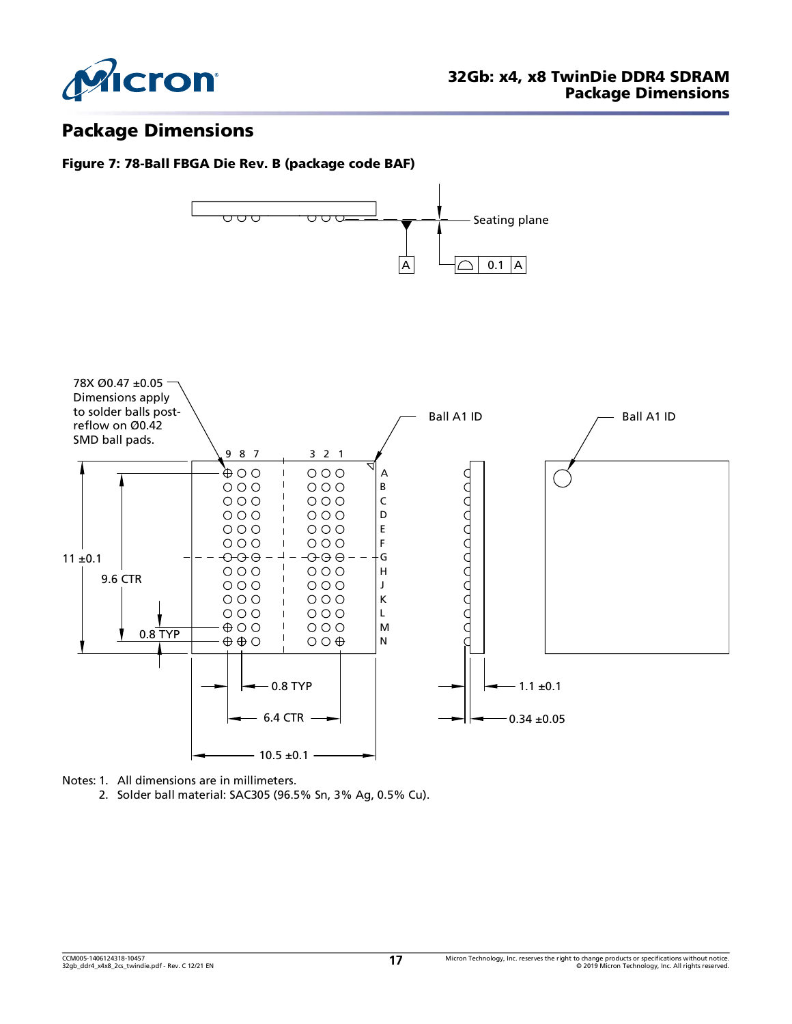

# Package Dimensions

### Figure 7: 78-Ball FBGA Die Rev. B (package code BAF)



Notes: 1. All dimensions are in millimeters.

2. Solder ball material: SAC305 (96.5% Sn, 3% Ag, 0.5% Cu).